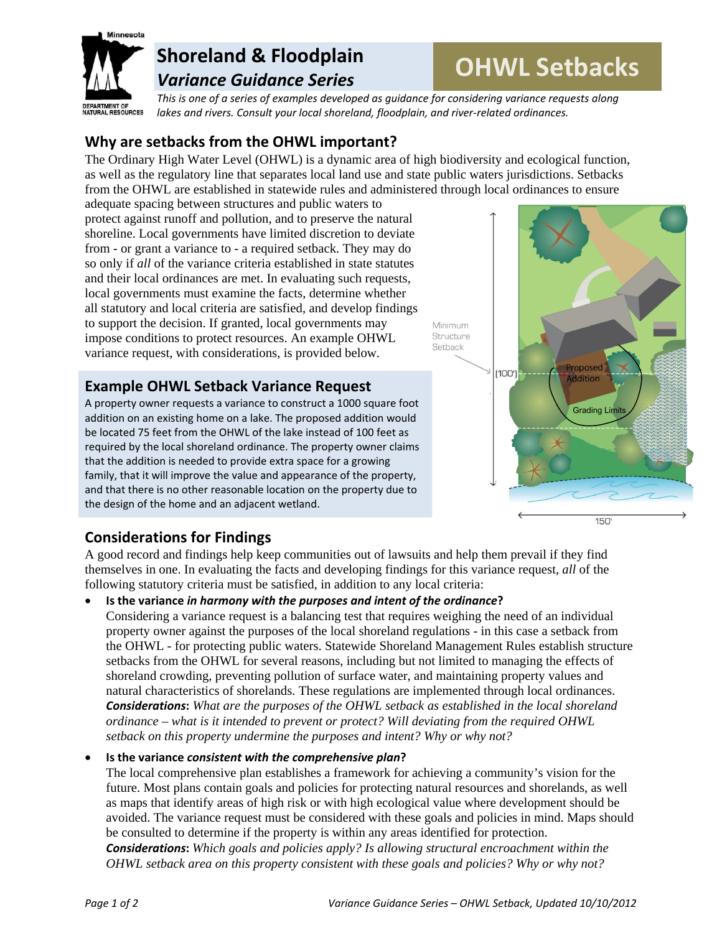

# **Shoreland & Floodplain** *Variance Guidance Series*

# **OHWL Setbacks**

*This is one of a series of examples developed as guidance for considering variance requests along lakes and rivers. Consult your local shoreland, floodplain, and river‐related ordinances.*

Minimum

Setback

## **Why are setbacks from the OHWL important?**

The Ordinary High Water Level (OHWL) is a dynamic area of high biodiversity and ecological function, as well as the regulatory line that separates local land use and state public waters jurisdictions. Setbacks from the OHWL are established in statewide rules and administered through local ordinances to ensure

adequate spacing between structures and public waters to protect against runoff and pollution, and to preserve the natural shoreline. Local governments have limited discretion to deviate from - or grant a variance to - a required setback. They may do so only if *all* of the variance criteria established in state statutes and their local ordinances are met. In evaluating such requests, local governments must examine the facts, determine whether all statutory and local criteria are satisfied, and develop findings to support the decision. If granted, local governments may impose conditions to protect resources. An example OHWL variance request, with considerations, is provided below.

### **Example OHWL Setback Variance Request**

A property owner requests a variance to construct a 1000 square foot addition on an existing home on a lake. The proposed addition would be located 75 feet from the OHWL of the lake instead of 100 feet as required by the local shoreland ordinance. The property owner claims that the addition is needed to provide extra space for a growing family, that it will improve the value and appearance of the property, and that there is no other reasonable location on the property due to the design of the home and an adjacent wetland.



# **Considerations for Findings**

A good record and findings help keep communities out of lawsuits and help them prevail if they find themselves in one. In evaluating the facts and developing findings for this variance request, *all* of the following statutory criteria must be satisfied, in addition to any local criteria:

#### **Is the variance** *in harmony with the purposes and intent of the ordinance***?**

Considering a variance request is a balancing test that requires weighing the need of an individual property owner against the purposes of the local shoreland regulations - in this case a setback from the OHWL - for protecting public waters. Statewide Shoreland Management Rules establish structure setbacks from the OHWL for several reasons, including but not limited to managing the effects of shoreland crowding, preventing pollution of surface water, and maintaining property values and natural characteristics of shorelands. These regulations are implemented through local ordinances. *Considerations***:** *What are the purposes of the OHWL setback as established in the local shoreland ordinance – what is it intended to prevent or protect? Will deviating from the required OHWL setback on this property undermine the purposes and intent? Why or why not?*

#### **Is the variance** *consistent with the comprehensive plan***?**

The local comprehensive plan establishes a framework for achieving a community's vision for the future. Most plans contain goals and policies for protecting natural resources and shorelands, as well as maps that identify areas of high risk or with high ecological value where development should be avoided. The variance request must be considered with these goals and policies in mind. Maps should be consulted to determine if the property is within any areas identified for protection.

*Considerations***:** *Which goals and policies apply? Is allowing structural encroachment within the OHWL setback area on this property consistent with these goals and policies? Why or why not?*